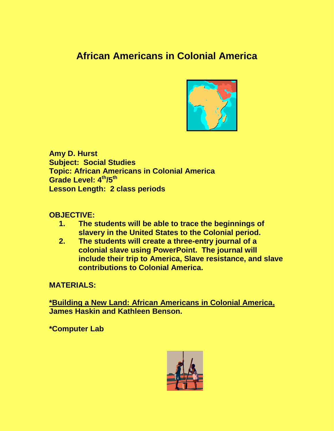# **African Americans in Colonial America**



**Amy D. Hurst Subject: Social Studies Topic: African Americans in Colonial America Grade Level: 4th/5th Lesson Length: 2 class periods**

#### **OBJECTIVE:**

- **1. The students will be able to trace the beginnings of slavery in the United States to the Colonial period.**
- **2. The students will create a three-entry journal of a colonial slave using PowerPoint. The journal will include their trip to America, Slave resistance, and slave contributions to Colonial America.**

**MATERIALS:**

**\*Building a New Land: African Americans in Colonial America, James Haskin and Kathleen Benson.**

**\*Computer Lab** 

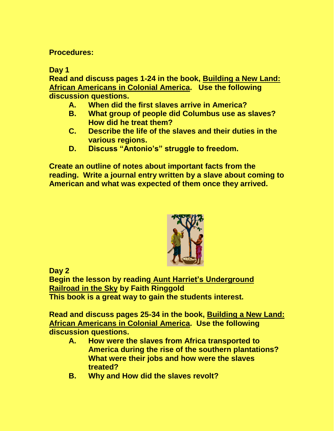**Procedures:**

**Day 1**

**Read and discuss pages 1-24 in the book, Building a New Land: African Americans in Colonial America. Use the following discussion questions.**

- **A. When did the first slaves arrive in America?**
- **B. What group of people did Columbus use as slaves? How did he treat them?**
- **C. Describe the life of the slaves and their duties in the various regions.**
- **D. Discuss "Antonio's" struggle to freedom.**

**Create an outline of notes about important facts from the reading. Write a journal entry written by a slave about coming to American and what was expected of them once they arrived.** 



**Day 2**

**Begin the lesson by reading Aunt Harriet's Underground Railroad in the Sky by Faith Ringgold This book is a great way to gain the students interest.**

**Read and discuss pages 25-34 in the book, Building a New Land: African Americans in Colonial America. Use the following discussion questions.**

- **A. How were the slaves from Africa transported to America during the rise of the southern plantations? What were their jobs and how were the slaves treated?**
- **B. Why and How did the slaves revolt?**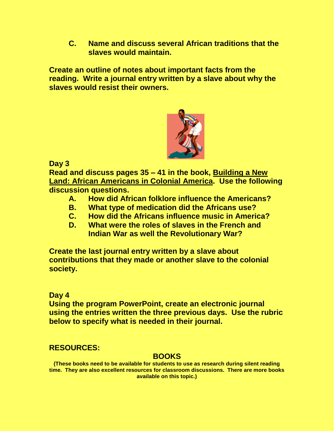**C. Name and discuss several African traditions that the slaves would maintain.**

**Create an outline of notes about important facts from the reading. Write a journal entry written by a slave about why the slaves would resist their owners.**



**Day 3**

**Read and discuss pages 35 – 41 in the book, Building a New Land: African Americans in Colonial America. Use the following discussion questions.**

- **A. How did African folklore influence the Americans?**
- **B. What type of medication did the Africans use?**
- **C. How did the Africans influence music in America?**
- **D. What were the roles of slaves in the French and Indian War as well the Revolutionary War?**

**Create the last journal entry written by a slave about contributions that they made or another slave to the colonial society.**

## **Day 4**

**Using the program PowerPoint, create an electronic journal using the entries written the three previous days. Use the rubric below to specify what is needed in their journal.**

# **RESOURCES:**

## **BOOKS**

**(These books need to be available for students to use as research during silent reading time. They are also excellent resources for classroom discussions. There are more books available on this topic.)**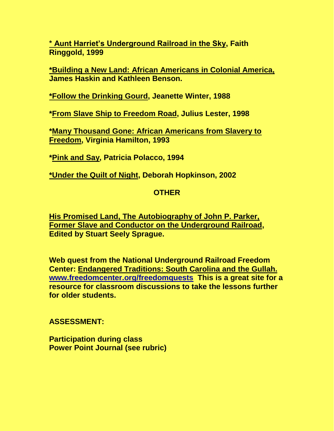**\* Aunt Harriet's Underground Railroad in the Sky, Faith Ringgold, 1999**

**\*Building a New Land: African Americans in Colonial America, James Haskin and Kathleen Benson.**

**\*Follow the Drinking Gourd, Jeanette Winter, 1988**

**\*From Slave Ship to Freedom Road, Julius Lester, 1998**

**\*Many Thousand Gone: African Americans from Slavery to Freedom, Virginia Hamilton, 1993**

**\*Pink and Say, Patricia Polacco, 1994**

**\*Under the Quilt of Night, Deborah Hopkinson, 2002**

#### **OTHER**

**His Promised Land, The Autobiography of John P. Parker, Former Slave and Conductor on the Underground Railroad, Edited by Stuart Seely Sprague.**

**Web quest from the National Underground Railroad Freedom Center: Endangered Traditions: South Carolina and the Gullah. [www.freedomcenter.org/freedomquests](http://www.freedomcenter.org/freedomquests) This is a great site for a resource for classroom discussions to take the lessons further for older students.**

#### **ASSESSMENT:**

**Participation during class Power Point Journal (see rubric)**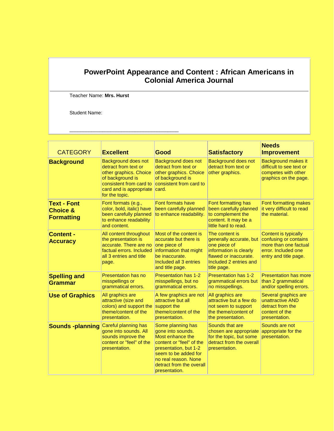#### **PowerPoint Appearance and Content : African Americans in Colonial America Journal**

Teacher Name: **Mrs. Hurst**

\_\_\_\_\_\_\_\_\_\_\_\_\_\_\_\_\_\_\_\_\_\_\_\_\_\_\_\_\_\_\_\_\_\_\_\_\_\_\_\_

Student Name:

| <b>CATEGORY</b>                                                | <b>Excellent</b>                                                                                                                                                         | Good                                                                                                                                                                                                         | <b>Satisfactory</b>                                                                                                                                   | <b>Needs</b><br><b>Improvement</b>                                                                                     |
|----------------------------------------------------------------|--------------------------------------------------------------------------------------------------------------------------------------------------------------------------|--------------------------------------------------------------------------------------------------------------------------------------------------------------------------------------------------------------|-------------------------------------------------------------------------------------------------------------------------------------------------------|------------------------------------------------------------------------------------------------------------------------|
| <b>Background</b>                                              | <b>Background does not</b><br>detract from text or<br>other graphics. Choice<br>of background is<br>consistent from card to<br>card and is appropriate<br>for the topic. | <b>Background does not</b><br>detract from text or<br>other graphics. Choice<br>of background is<br>consistent from card to<br>card.                                                                         | <b>Background does not</b><br>detract from text or<br>other graphics.                                                                                 | <b>Background makes it</b><br>difficult to see text or<br>competes with other<br>graphics on the page.                 |
| <b>Text - Font</b><br><b>Choice &amp;</b><br><b>Formatting</b> | Font formats (e.g.,<br>color, bold, italic) have<br>been carefully planned<br>to enhance readability<br>and content.                                                     | <b>Font formats have</b><br>been carefully planned<br>to enhance readability.                                                                                                                                | Font formatting has<br>been carefully planned<br>to complement the<br>content. It may be a<br>little hard to read.                                    | Font formatting makes<br>it very difficult to read<br>the material.                                                    |
| <b>Content -</b><br><b>Accuracy</b>                            | All content throughout<br>the presentation is<br>accurate. There are no<br>factual errors, Included<br>all 3 entries and title<br>page.                                  | Most of the content is<br>accurate but there is<br>one piece of<br>information that might<br>be inaccurate.<br>Included all 3 entries<br>and title page.                                                     | The content is<br>generally accurate, but<br>one piece of<br>information is clearly<br>flawed or inaccurate.<br>Included 2 entries and<br>title page. | Content is typically<br>confusing or contains<br>more than one factual<br>error. Included one<br>entry and title page. |
| <b>Spelling and</b><br><b>Grammar</b>                          | <b>Presentation has no</b><br>misspellings or<br>grammatical errors.                                                                                                     | <b>Presentation has 1-2</b><br>misspellings, but no<br>grammatical errors.                                                                                                                                   | <b>Presentation has 1-2</b><br>grammatical errors but<br>no misspellings.                                                                             | <b>Presentation has more</b><br>than 2 grammatical<br>and/or spelling errors.                                          |
| <b>Use of Graphics</b>                                         | All graphics are<br>attractive (size and<br>colors) and support the<br>theme/content of the<br>presentation.                                                             | A few graphics are not<br>attractive but all<br>support the<br>theme/content of the<br>presentation.                                                                                                         | All graphics are<br>attractive but a few do<br>not seem to support<br>the theme/content of<br>the presentation.                                       | Several graphics are<br>unattractive AND<br>detract from the<br>content of the<br>presentation.                        |
| <b>Sounds -planning</b>                                        | Careful planning has<br>gone into sounds. All<br>sounds improve the<br>content or "feel" of the<br>presentation.                                                         | Some planning has<br>gone into sounds.<br>Most enhance the<br>content or "feel" of the<br>presentation, but 1-2<br>seem to be added for<br>no real reason. None<br>detract from the overall<br>presentation. | Sounds that are<br>chosen are appropriate<br>for the topic, but some<br>detract from the overall<br>presentation.                                     | Sounds are not<br>appropriate for the<br>presentation.                                                                 |